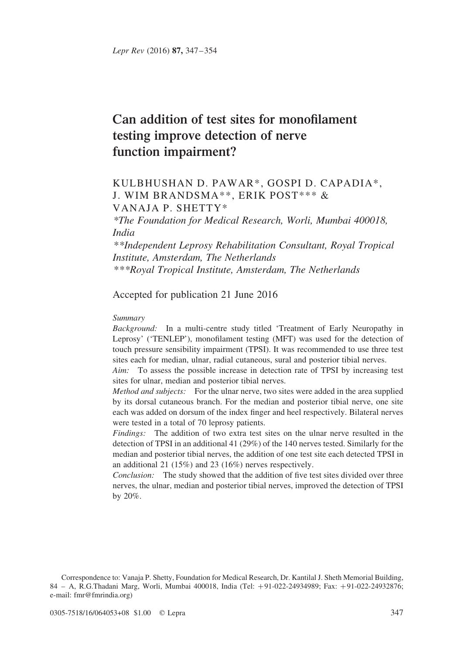# Can addition of test sites for monofilament testing improve detection of nerve function impairment?

# KULBHUSHAN D. PAWAR\*, GOSPI D. CAPADIA\*, J. WIM BRANDSMA\*\*, ERIK POST\*\*\* & VANAJA P. SHETTY\*

\*The Foundation for Medical Research, Worli, Mumbai 400018, India

\*\*Independent Leprosy Rehabilitation Consultant, Royal Tropical Institute, Amsterdam, The Netherlands \*\*\*Royal Tropical Institute, Amsterdam, The Netherlands

# Accepted for publication 21 June 2016

#### Summary

Background: In a multi-centre study titled 'Treatment of Early Neuropathy in Leprosy' ('TENLEP'), monofilament testing (MFT) was used for the detection of touch pressure sensibility impairment (TPSI). It was recommended to use three test sites each for median, ulnar, radial cutaneous, sural and posterior tibial nerves.

Aim: To assess the possible increase in detection rate of TPSI by increasing test sites for ulnar, median and posterior tibial nerves.

Method and subjects: For the ulnar nerve, two sites were added in the area supplied by its dorsal cutaneous branch. For the median and posterior tibial nerve, one site each was added on dorsum of the index finger and heel respectively. Bilateral nerves were tested in a total of 70 leprosy patients.

Findings: The addition of two extra test sites on the ulnar nerve resulted in the detection of TPSI in an additional 41 (29%) of the 140 nerves tested. Similarly for the median and posterior tibial nerves, the addition of one test site each detected TPSI in an additional 21 (15%) and 23 (16%) nerves respectively.

Conclusion: The study showed that the addition of five test sites divided over three nerves, the ulnar, median and posterior tibial nerves, improved the detection of TPSI by 20%.

Correspondence to: Vanaja P. Shetty, Foundation for Medical Research, Dr. Kantilal J. Sheth Memorial Building, 84 – A, R.G.Thadani Marg, Worli, Mumbai 400018, India (Tel: +91-022-24934989; Fax: +91-022-24932876; e-mail: fmr@fmrindia.org)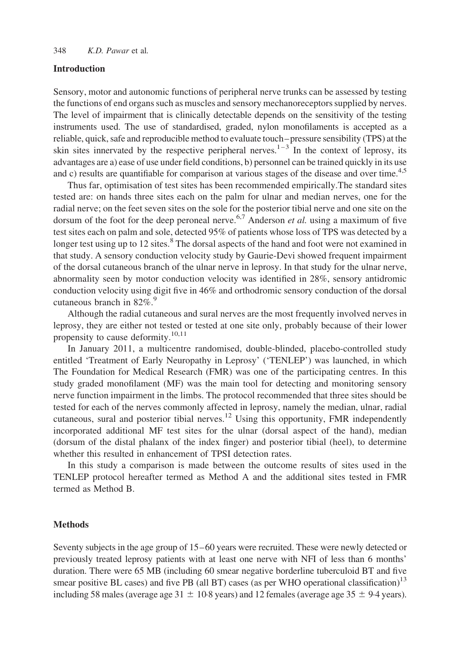#### Introduction

Sensory, motor and autonomic functions of peripheral nerve trunks can be assessed by testing the functions of end organs such as muscles and sensory mechanoreceptors supplied by nerves. The level of impairment that is clinically detectable depends on the sensitivity of the testing instruments used. The use of standardised, graded, nylon monofilaments is accepted as a reliable, quick, safe and reproducible method to evaluate touch–pressure sensibility (TPS) at the skin sites innervated by the respective peripheral nerves.<sup>1–3</sup> In the context of leprosy, its advantages are a) ease of use under field conditions, b) personnel can be trained quickly in its use and c) results are quantifiable for comparison at various stages of the disease and over time.<sup>4,5</sup>

Thus far, optimisation of test sites has been recommended empirically.The standard sites tested are: on hands three sites each on the palm for ulnar and median nerves, one for the radial nerve; on the feet seven sites on the sole for the posterior tibial nerve and one site on the dorsum of the foot for the deep peroneal nerve.<sup>[6,7](#page-7-0)</sup> Anderson *et al.* using a maximum of five test sites each on palm and sole, detected 95% of patients whose loss of TPS was detected by a longer test using up to 12 sites.<sup>[8](#page-7-0)</sup> The dorsal aspects of the hand and foot were not examined in that study. A sensory conduction velocity study by Gaurie-Devi showed frequent impairment of the dorsal cutaneous branch of the ulnar nerve in leprosy. In that study for the ulnar nerve, abnormality seen by motor conduction velocity was identified in 28%, sensory antidromic conduction velocity using digit five in 46% and orthodromic sensory conduction of the dorsal cutaneous branch in  $82\%$ .<sup>[9](#page-7-0)</sup>

Although the radial cutaneous and sural nerves are the most frequently involved nerves in leprosy, they are either not tested or tested at one site only, probably because of their lower propensity to cause deformity.<sup>[10,11](#page-7-0)</sup>

In January 2011, a multicentre randomised, double-blinded, placebo-controlled study entitled 'Treatment of Early Neuropathy in Leprosy' ('TENLEP') was launched, in which The Foundation for Medical Research (FMR) was one of the participating centres. In this study graded monofilament (MF) was the main tool for detecting and monitoring sensory nerve function impairment in the limbs. The protocol recommended that three sites should be tested for each of the nerves commonly affected in leprosy, namely the median, ulnar, radial cutaneous, sural and posterior tibial nerves.<sup>[12](#page-7-0)</sup> Using this opportunity, FMR independently incorporated additional MF test sites for the ulnar (dorsal aspect of the hand), median (dorsum of the distal phalanx of the index finger) and posterior tibial (heel), to determine whether this resulted in enhancement of TPSI detection rates.

In this study a comparison is made between the outcome results of sites used in the TENLEP protocol hereafter termed as Method A and the additional sites tested in FMR termed as Method B.

# **Methods**

Seventy subjects in the age group of 15–60 years were recruited. These were newly detected or previously treated leprosy patients with at least one nerve with NFI of less than 6 months' duration. There were 65 MB (including 60 smear negative borderline tuberculoid BT and five smear positive BL cases) and five PB (all BT) cases (as per WHO operational classification)<sup>13</sup> including 58 males (average age  $31 \pm 10.8$  years) and 12 females (average age 35  $\pm$  9·4 years).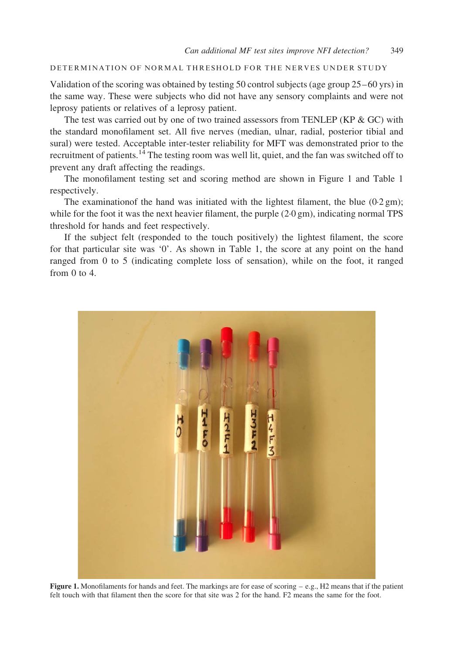#### DETERMINATION OF NORMAL THRESHOLD FOR THE NERVES UNDER STUDY

Validation of the scoring was obtained by testing 50 control subjects (age group 25–60 yrs) in the same way. These were subjects who did not have any sensory complaints and were not leprosy patients or relatives of a leprosy patient.

The test was carried out by one of two trained assessors from TENLEP (KP  $&$  GC) with the standard monofilament set. All five nerves (median, ulnar, radial, posterior tibial and sural) were tested. Acceptable inter-tester reliability for MFT was demonstrated prior to the recruitment of patients.<sup>[14](#page-7-0)</sup> The testing room was well lit, quiet, and the fan was switched off to prevent any draft affecting the readings.

The monofilament testing set and scoring method are shown in Figure 1 and [Table 1](#page-3-0) respectively.

The examination of the hand was initiated with the lightest filament, the blue  $(0.2 \text{ gm})$ ; while for the foot it was the next heavier filament, the purple  $(2.0 \text{ gm})$ , indicating normal TPS threshold for hands and feet respectively.

If the subject felt (responded to the touch positively) the lightest filament, the score for that particular site was '0'. As shown in [Table 1](#page-3-0), the score at any point on the hand ranged from 0 to 5 (indicating complete loss of sensation), while on the foot, it ranged from 0 to 4.



Figure 1. Monofilaments for hands and feet. The markings are for ease of scoring  $-e.g., H2$  means that if the patient felt touch with that filament then the score for that site was 2 for the hand. F2 means the same for the foot.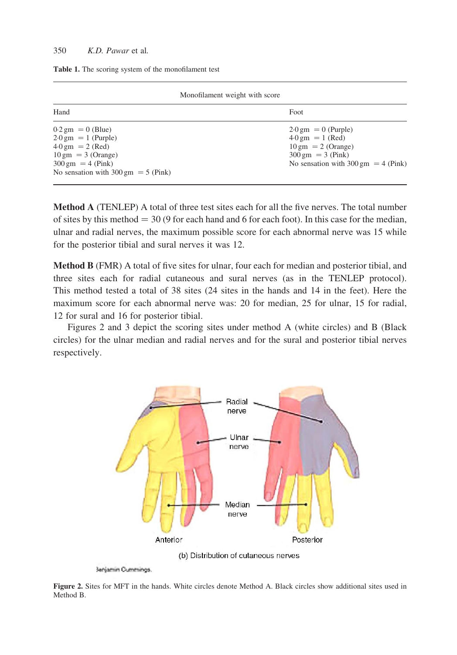#### <span id="page-3-0"></span>350  $K D$  *Pawar* et al.

| Monofilament weight with score                |                                               |  |  |  |  |
|-----------------------------------------------|-----------------------------------------------|--|--|--|--|
| Hand                                          | Foot                                          |  |  |  |  |
| $0.2 \text{ gm} = 0 \text{ (Blue)}$           | $2.0 \text{ gm} = 0$ (Purple)                 |  |  |  |  |
| $2.0 \text{ gm} = 1 \text{ (Purple)}$         | $4.0 \text{ gm} = 1 \text{ (Red)}$            |  |  |  |  |
| $4.0 \text{ gm} = 2 \text{ (Red)}$            | $10 \text{ gm} = 2 \text{ (Orange)}$          |  |  |  |  |
| $10 \text{ gm} = 3$ (Orange)                  | $300 \text{ gm} = 3 \text{ (Pink)}$           |  |  |  |  |
| $300 \text{ gm} = 4 \text{ (Pink)}$           | No sensation with $300 \text{ gm} = 4$ (Pink) |  |  |  |  |
| No sensation with $300 \text{ gm} = 5$ (Pink) |                                               |  |  |  |  |

Table 1. The scoring system of the monofilament test

Method A (TENLEP) A total of three test sites each for all the five nerves. The total number of sites by this method  $=$  30 (9 for each hand and 6 for each foot). In this case for the median, ulnar and radial nerves, the maximum possible score for each abnormal nerve was 15 while for the posterior tibial and sural nerves it was 12.

Method B (FMR) A total of five sites for ulnar, four each for median and posterior tibial, and three sites each for radial cutaneous and sural nerves (as in the TENLEP protocol). This method tested a total of 38 sites (24 sites in the hands and 14 in the feet). Here the maximum score for each abnormal nerve was: 20 for median, 25 for ulnar, 15 for radial, 12 for sural and 16 for posterior tibial.

Figures 2 and 3 depict the scoring sites under method A (white circles) and B (Black circles) for the ulnar median and radial nerves and for the sural and posterior tibial nerves respectively.



**Janjamin Cummings** 

Figure 2. Sites for MFT in the hands. White circles denote Method A. Black circles show additional sites used in Method B.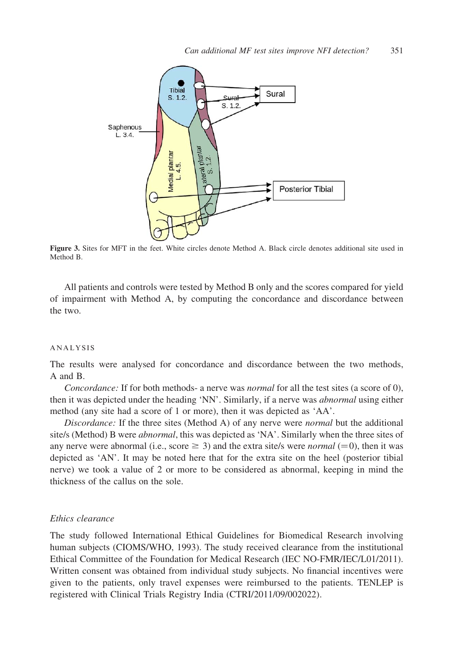

Figure 3. Sites for MFT in the feet. White circles denote Method A. Black circle denotes additional site used in  $Mathod R$ 

All patients and controls were tested by Method B only and the scores compared for yield of impairment with Method A, by computing the concordance and discordance between the two.

#### ANALYSIS

The results were analysed for concordance and discordance between the two methods, A and B.

Concordance: If for both methods- a nerve was normal for all the test sites (a score of 0), then it was depicted under the heading 'NN'. Similarly, if a nerve was abnormal using either method (any site had a score of 1 or more), then it was depicted as 'AA'.

Discordance: If the three sites (Method A) of any nerve were *normal* but the additional site/s (Method) B were *abnormal*, this was depicted as 'NA'. Similarly when the three sites of any nerve were abnormal (i.e., score  $\geq$  3) and the extra site/s were *normal* (=0), then it was depicted as 'AN'. It may be noted here that for the extra site on the heel (posterior tibial nerve) we took a value of 2 or more to be considered as abnormal, keeping in mind the thickness of the callus on the sole.

## Ethics clearance

The study followed International Ethical Guidelines for Biomedical Research involving human subjects (CIOMS/WHO, 1993). The study received clearance from the institutional Ethical Committee of the Foundation for Medical Research (IEC NO-FMR/IEC/L01/2011). Written consent was obtained from individual study subjects. No financial incentives were given to the patients, only travel expenses were reimbursed to the patients. TENLEP is registered with Clinical Trials Registry India (CTRI/2011/09/002022).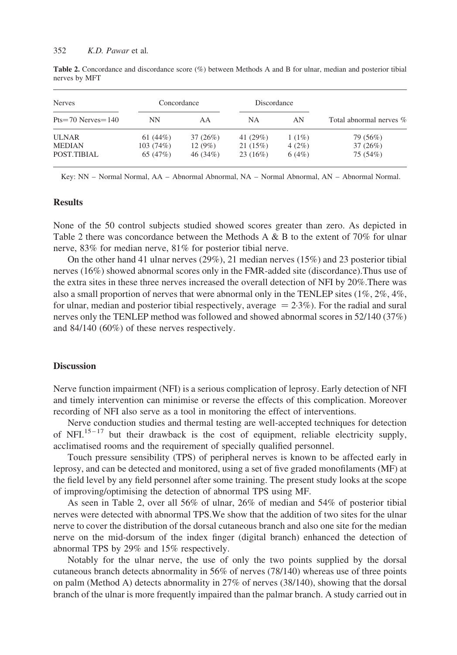| <b>Nerves</b><br>$Pts=70$ Nerves = 140 | Concordance |          | Discordance |       |                         |
|----------------------------------------|-------------|----------|-------------|-------|-------------------------|
|                                        | NΝ          | AA       | NA          | AN    | Total abnormal nerves % |
| <b>ULNAR</b>                           | 61 $(44%)$  | 37(26%)  | 41 (29%)    | 1(1%) | 79 (56%)                |
| <b>MEDIAN</b>                          | 103(74%)    | 12(9%)   | 21(15%)     | 4(2%) | 37(26%)                 |
| POST.TIBIAL                            | 65(47%)     | 46 (34%) | 23(16%)     | 6(4%) | 75 (54%)                |

Table 2. Concordance and discordance score (%) between Methods A and B for ulnar, median and posterior tibial nerves by MFT

Key: NN – Normal Normal, AA – Abnormal Abnormal, NA – Normal Abnormal, AN – Abnormal Normal.

## **Results**

None of the 50 control subjects studied showed scores greater than zero. As depicted in Table 2 there was concordance between the Methods A  $\&$  B to the extent of 70% for ulnar nerve, 83% for median nerve, 81% for posterior tibial nerve.

On the other hand 41 ulnar nerves (29%), 21 median nerves (15%) and 23 posterior tibial nerves (16%) showed abnormal scores only in the FMR-added site (discordance).Thus use of the extra sites in these three nerves increased the overall detection of NFI by 20%.There was also a small proportion of nerves that were abnormal only in the TENLEP sites  $(1\%, 2\%, 4\%,$ for ulnar, median and posterior tibial respectively, average  $= 2.3\%$ ). For the radial and sural nerves only the TENLEP method was followed and showed abnormal scores in 52/140 (37%) and 84/140 (60%) of these nerves respectively.

#### **Discussion**

Nerve function impairment (NFI) is a serious complication of leprosy. Early detection of NFI and timely intervention can minimise or reverse the effects of this complication. Moreover recording of NFI also serve as a tool in monitoring the effect of interventions.

Nerve conduction studies and thermal testing are well-accepted techniques for detection of NFI.<sup>15-17</sup> but their drawback is the cost of equipment, reliable electricity supply, acclimatised rooms and the requirement of specially qualified personnel.

Touch pressure sensibility (TPS) of peripheral nerves is known to be affected early in leprosy, and can be detected and monitored, using a set of five graded monofilaments (MF) at the field level by any field personnel after some training. The present study looks at the scope of improving/optimising the detection of abnormal TPS using MF.

As seen in Table 2, over all 56% of ulnar, 26% of median and 54% of posterior tibial nerves were detected with abnormal TPS.We show that the addition of two sites for the ulnar nerve to cover the distribution of the dorsal cutaneous branch and also one site for the median nerve on the mid-dorsum of the index finger (digital branch) enhanced the detection of abnormal TPS by 29% and 15% respectively.

Notably for the ulnar nerve, the use of only the two points supplied by the dorsal cutaneous branch detects abnormality in 56% of nerves (78/140) whereas use of three points on palm (Method A) detects abnormality in 27% of nerves (38/140), showing that the dorsal branch of the ulnar is more frequently impaired than the palmar branch. A study carried out in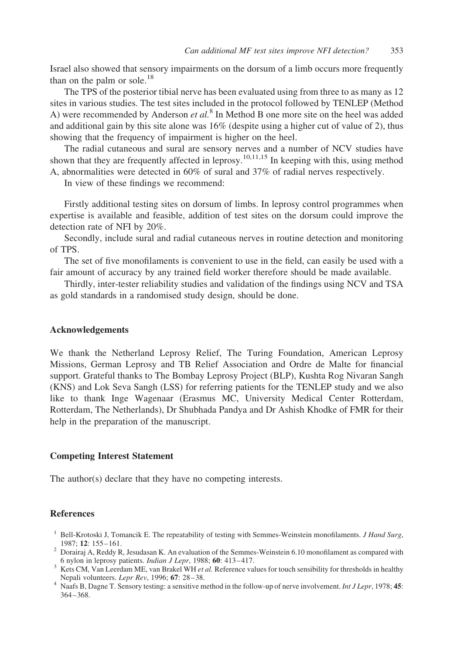<span id="page-6-0"></span>Israel also showed that sensory impairments on the dorsum of a limb occurs more frequently than on the palm or sole. $18$ 

The TPS of the posterior tibial nerve has been evaluated using from three to as many as 12 sites in various studies. The test sites included in the protocol followed by TENLEP (Method A) were recommended by Anderson *et al.*<sup>[8](#page-7-0)</sup> In Method B one more site on the heel was added and additional gain by this site alone was  $16\%$  (despite using a higher cut of value of 2), thus showing that the frequency of impairment is higher on the heel.

The radial cutaneous and sural are sensory nerves and a number of NCV studies have shown that they are frequently affected in leprosy.<sup>[10,11,15](#page-7-0)</sup> In keeping with this, using method A, abnormalities were detected in 60% of sural and 37% of radial nerves respectively.

In view of these findings we recommend:

Firstly additional testing sites on dorsum of limbs. In leprosy control programmes when expertise is available and feasible, addition of test sites on the dorsum could improve the detection rate of NFI by 20%.

Secondly, include sural and radial cutaneous nerves in routine detection and monitoring of TPS.

The set of five monofilaments is convenient to use in the field, can easily be used with a fair amount of accuracy by any trained field worker therefore should be made available.

Thirdly, inter-tester reliability studies and validation of the findings using NCV and TSA as gold standards in a randomised study design, should be done.

# Acknowledgements

We thank the Netherland Leprosy Relief, The Turing Foundation, American Leprosy Missions, German Leprosy and TB Relief Association and Ordre de Malte for financial support. Grateful thanks to The Bombay Leprosy Project (BLP), Kushta Rog Nivaran Sangh (KNS) and Lok Seva Sangh (LSS) for referring patients for the TENLEP study and we also like to thank Inge Wagenaar (Erasmus MC, University Medical Center Rotterdam, Rotterdam, The Netherlands), Dr Shubhada Pandya and Dr Ashish Khodke of FMR for their help in the preparation of the manuscript.

#### Competing Interest Statement

The author(s) declare that they have no competing interests.

# **References**

- <sup>1</sup> Bell-Krotoski J, Tomancik E. The repeatability of testing with Semmes-Weinstein monofilaments. *J Hand Surg*,
- 1987; <sup>12</sup>: 155–161. <sup>2</sup> Dorairaj A, Reddy R, Jesudasan K. An evaluation of the Semmes-Weinstein 6.10 monofilament as compared with
- 6 nylon in leprosy patients. *Indian J Lepr*, 1988; 60: 413–417.<br><sup>3</sup> Kets CM, Van Leerdam ME, van Brakel WH *et al.* Reference values for touch sensibility for thresholds in healthy
- Nepali volunteers. Lepr Rev, 1996; 67: 28–38.<br>4 Naafs B, Dagne T. Sensory testing: a sensitive method in the follow-up of nerve involvement. Int J Lepr, 1978; 45: 364–368.